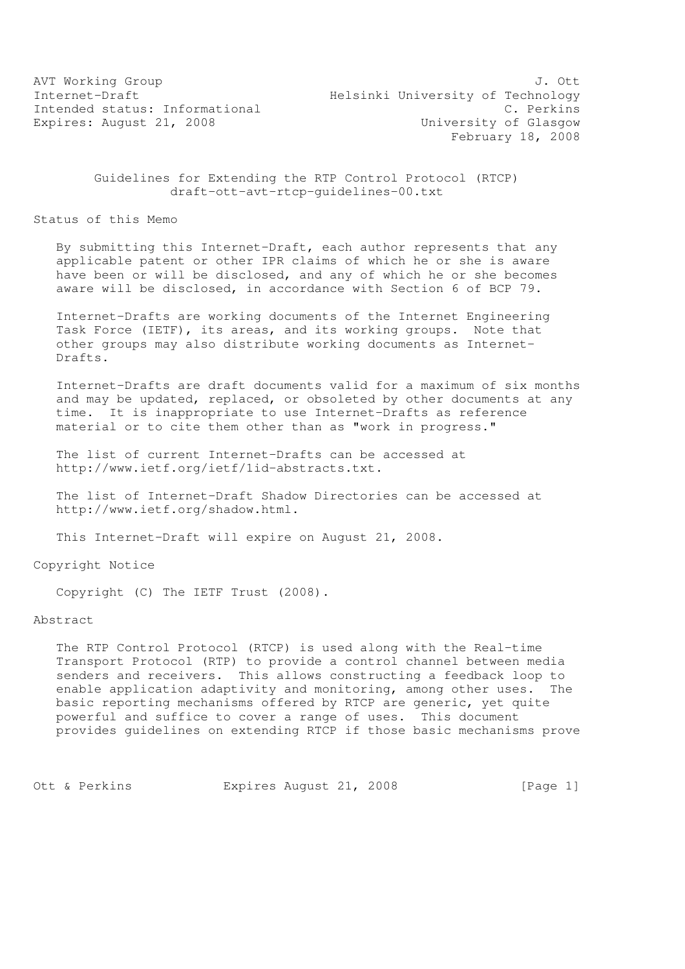AVT Working Group 3. Out 3. The set of the set of the set of the set of the set of the set of the set of the set of the set of the set of the set of the set of the set of the set of the set of the set of the set of the set Internet-Draft Helsinki University of Technology Intended status: Informational C. Perkins Expires: August 21, 2008 Case Controller Music University of Glasgow February 18, 2008

### Guidelines for Extending the RTP Control Protocol (RTCP) draft-ott-avt-rtcp-guidelines-00.txt

Status of this Memo

 By submitting this Internet-Draft, each author represents that any applicable patent or other IPR claims of which he or she is aware have been or will be disclosed, and any of which he or she becomes aware will be disclosed, in accordance with Section 6 of BCP 79.

 Internet-Drafts are working documents of the Internet Engineering Task Force (IETF), its areas, and its working groups. Note that other groups may also distribute working documents as Internet- Drafts.

 Internet-Drafts are draft documents valid for a maximum of six months and may be updated, replaced, or obsoleted by other documents at any time. It is inappropriate to use Internet-Drafts as reference material or to cite them other than as "work in progress."

 The list of current Internet-Drafts can be accessed at http://www.ietf.org/ietf/1id-abstracts.txt.

 The list of Internet-Draft Shadow Directories can be accessed at http://www.ietf.org/shadow.html.

This Internet-Draft will expire on August 21, 2008.

Copyright Notice

Copyright (C) The IETF Trust (2008).

Abstract

 The RTP Control Protocol (RTCP) is used along with the Real-time Transport Protocol (RTP) to provide a control channel between media senders and receivers. This allows constructing a feedback loop to enable application adaptivity and monitoring, among other uses. The basic reporting mechanisms offered by RTCP are generic, yet quite powerful and suffice to cover a range of uses. This document provides guidelines on extending RTCP if those basic mechanisms prove

Ott & Perkins Expires August 21, 2008 [Page 1]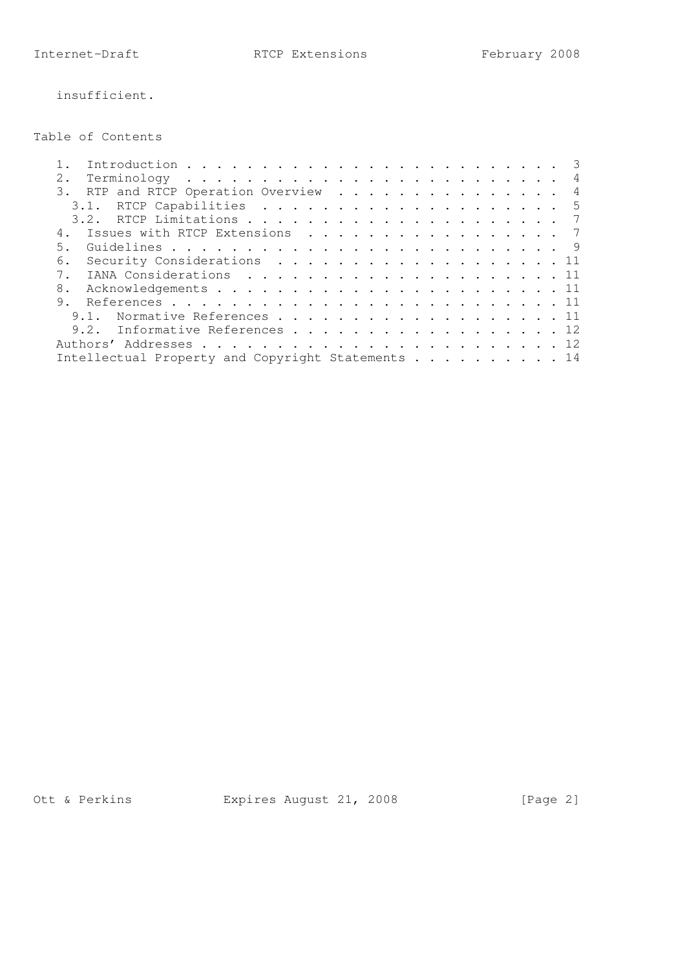insufficient.

Table of Contents

| $2$ . |                                                   |  |  |  |  |  |  |
|-------|---------------------------------------------------|--|--|--|--|--|--|
|       | 3. RTP and RTCP Operation Overview 4              |  |  |  |  |  |  |
|       |                                                   |  |  |  |  |  |  |
|       |                                                   |  |  |  |  |  |  |
|       | 4. Issues with RTCP Extensions 7                  |  |  |  |  |  |  |
| 5.    |                                                   |  |  |  |  |  |  |
| 6.    | Security Considerations 11                        |  |  |  |  |  |  |
|       |                                                   |  |  |  |  |  |  |
| 8.    |                                                   |  |  |  |  |  |  |
|       |                                                   |  |  |  |  |  |  |
|       | 9.1. Normative References 11                      |  |  |  |  |  |  |
|       | 9.2. Informative References 12                    |  |  |  |  |  |  |
|       |                                                   |  |  |  |  |  |  |
|       | Intellectual Property and Copyright Statements 14 |  |  |  |  |  |  |
|       |                                                   |  |  |  |  |  |  |

Ott & Perkins Expires August 21, 2008 [Page 2]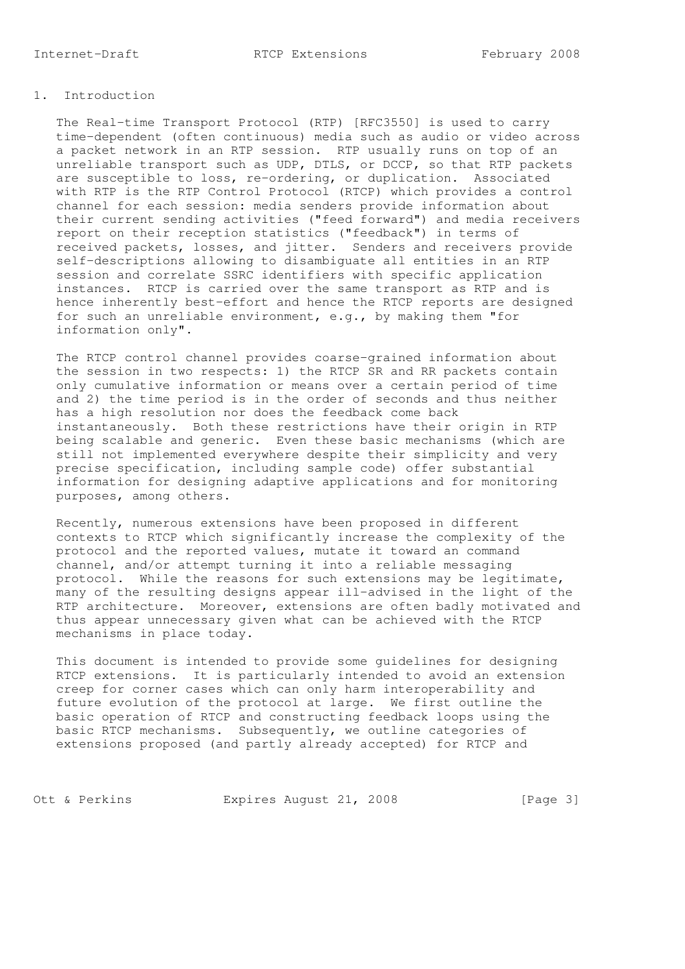## 1. Introduction

 The Real-time Transport Protocol (RTP) [RFC3550] is used to carry time-dependent (often continuous) media such as audio or video across a packet network in an RTP session. RTP usually runs on top of an unreliable transport such as UDP, DTLS, or DCCP, so that RTP packets are susceptible to loss, re-ordering, or duplication. Associated with RTP is the RTP Control Protocol (RTCP) which provides a control channel for each session: media senders provide information about their current sending activities ("feed forward") and media receivers report on their reception statistics ("feedback") in terms of received packets, losses, and jitter. Senders and receivers provide self-descriptions allowing to disambiguate all entities in an RTP session and correlate SSRC identifiers with specific application instances. RTCP is carried over the same transport as RTP and is hence inherently best-effort and hence the RTCP reports are designed for such an unreliable environment, e.g., by making them "for information only".

 The RTCP control channel provides coarse-grained information about the session in two respects: 1) the RTCP SR and RR packets contain only cumulative information or means over a certain period of time and 2) the time period is in the order of seconds and thus neither has a high resolution nor does the feedback come back instantaneously. Both these restrictions have their origin in RTP being scalable and generic. Even these basic mechanisms (which are still not implemented everywhere despite their simplicity and very precise specification, including sample code) offer substantial information for designing adaptive applications and for monitoring purposes, among others.

 Recently, numerous extensions have been proposed in different contexts to RTCP which significantly increase the complexity of the protocol and the reported values, mutate it toward an command channel, and/or attempt turning it into a reliable messaging protocol. While the reasons for such extensions may be legitimate, many of the resulting designs appear ill-advised in the light of the RTP architecture. Moreover, extensions are often badly motivated and thus appear unnecessary given what can be achieved with the RTCP mechanisms in place today.

 This document is intended to provide some guidelines for designing RTCP extensions. It is particularly intended to avoid an extension creep for corner cases which can only harm interoperability and future evolution of the protocol at large. We first outline the basic operation of RTCP and constructing feedback loops using the basic RTCP mechanisms. Subsequently, we outline categories of extensions proposed (and partly already accepted) for RTCP and

Ott & Perkins Expires August 21, 2008 [Page 3]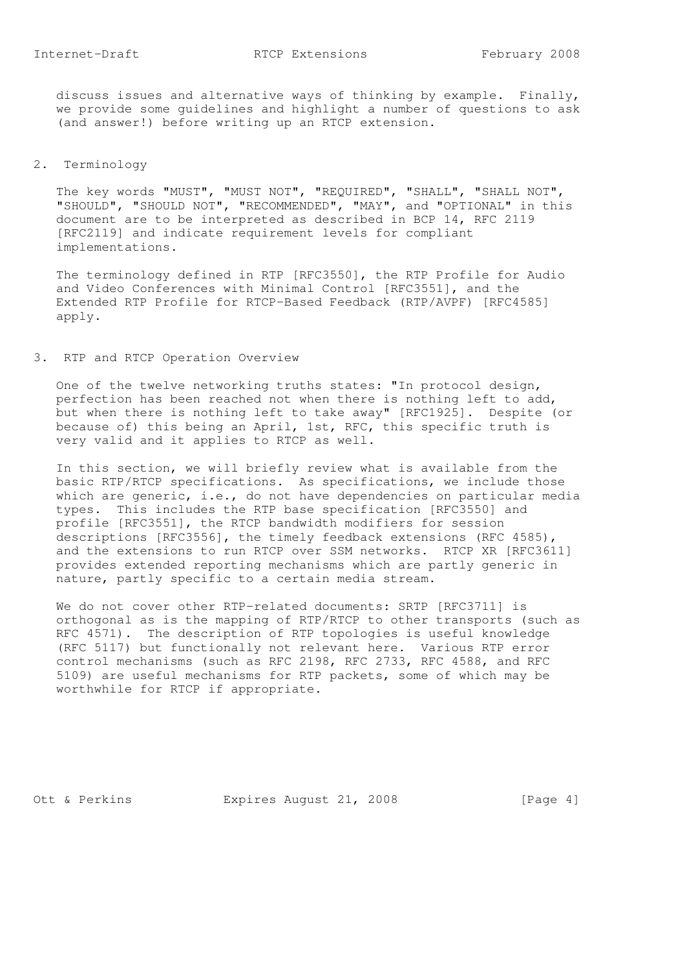discuss issues and alternative ways of thinking by example. Finally, we provide some guidelines and highlight a number of questions to ask (and answer!) before writing up an RTCP extension.

# 2. Terminology

 The key words "MUST", "MUST NOT", "REQUIRED", "SHALL", "SHALL NOT", "SHOULD", "SHOULD NOT", "RECOMMENDED", "MAY", and "OPTIONAL" in this document are to be interpreted as described in BCP 14, RFC 2119 [RFC2119] and indicate requirement levels for compliant implementations.

 The terminology defined in RTP [RFC3550], the RTP Profile for Audio and Video Conferences with Minimal Control [RFC3551], and the Extended RTP Profile for RTCP-Based Feedback (RTP/AVPF) [RFC4585] apply.

### 3. RTP and RTCP Operation Overview

 One of the twelve networking truths states: "In protocol design, perfection has been reached not when there is nothing left to add, but when there is nothing left to take away" [RFC1925]. Despite (or because of) this being an April, 1st, RFC, this specific truth is very valid and it applies to RTCP as well.

 In this section, we will briefly review what is available from the basic RTP/RTCP specifications. As specifications, we include those which are generic, i.e., do not have dependencies on particular media types. This includes the RTP base specification [RFC3550] and profile [RFC3551], the RTCP bandwidth modifiers for session descriptions [RFC3556], the timely feedback extensions (RFC 4585), and the extensions to run RTCP over SSM networks. RTCP XR [RFC3611] provides extended reporting mechanisms which are partly generic in nature, partly specific to a certain media stream.

We do not cover other RTP-related documents: SRTP [RFC3711] is orthogonal as is the mapping of RTP/RTCP to other transports (such as RFC 4571). The description of RTP topologies is useful knowledge (RFC 5117) but functionally not relevant here. Various RTP error control mechanisms (such as RFC 2198, RFC 2733, RFC 4588, and RFC 5109) are useful mechanisms for RTP packets, some of which may be worthwhile for RTCP if appropriate.

Ott & Perkins **Expires August 21, 2008** [Page 4]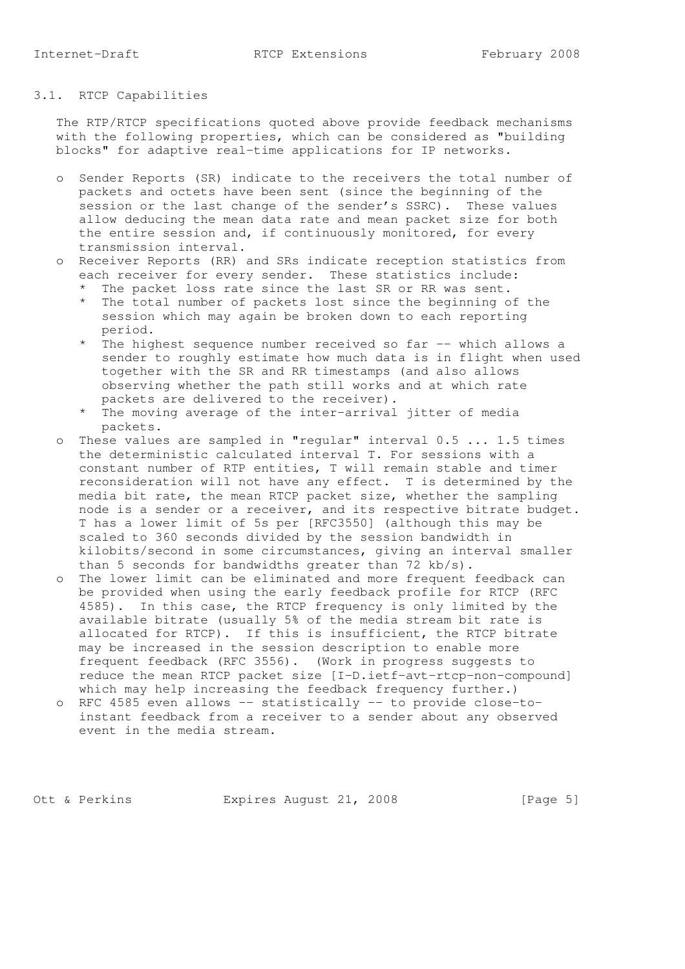# 3.1. RTCP Capabilities

 The RTP/RTCP specifications quoted above provide feedback mechanisms with the following properties, which can be considered as "building blocks" for adaptive real-time applications for IP networks.

- o Sender Reports (SR) indicate to the receivers the total number of packets and octets have been sent (since the beginning of the session or the last change of the sender's SSRC). These values allow deducing the mean data rate and mean packet size for both the entire session and, if continuously monitored, for every transmission interval.
- o Receiver Reports (RR) and SRs indicate reception statistics from each receiver for every sender. These statistics include:
	- \* The packet loss rate since the last SR or RR was sent.
- \* The total number of packets lost since the beginning of the session which may again be broken down to each reporting period.
- \* The highest sequence number received so far -- which allows a sender to roughly estimate how much data is in flight when used together with the SR and RR timestamps (and also allows observing whether the path still works and at which rate packets are delivered to the receiver).
	- \* The moving average of the inter-arrival jitter of media packets.
	- o These values are sampled in "regular" interval 0.5 ... 1.5 times the deterministic calculated interval T. For sessions with a constant number of RTP entities, T will remain stable and timer reconsideration will not have any effect. T is determined by the media bit rate, the mean RTCP packet size, whether the sampling node is a sender or a receiver, and its respective bitrate budget. T has a lower limit of 5s per [RFC3550] (although this may be scaled to 360 seconds divided by the session bandwidth in kilobits/second in some circumstances, giving an interval smaller than 5 seconds for bandwidths greater than 72 kb/s).
	- o The lower limit can be eliminated and more frequent feedback can be provided when using the early feedback profile for RTCP (RFC 4585). In this case, the RTCP frequency is only limited by the available bitrate (usually 5% of the media stream bit rate is allocated for RTCP). If this is insufficient, the RTCP bitrate may be increased in the session description to enable more frequent feedback (RFC 3556). (Work in progress suggests to reduce the mean RTCP packet size [I-D.ietf-avt-rtcp-non-compound] which may help increasing the feedback frequency further.)
	- o RFC 4585 even allows -- statistically -- to provide close-to instant feedback from a receiver to a sender about any observed event in the media stream.

Ott & Perkins Expires August 21, 2008 [Page 5]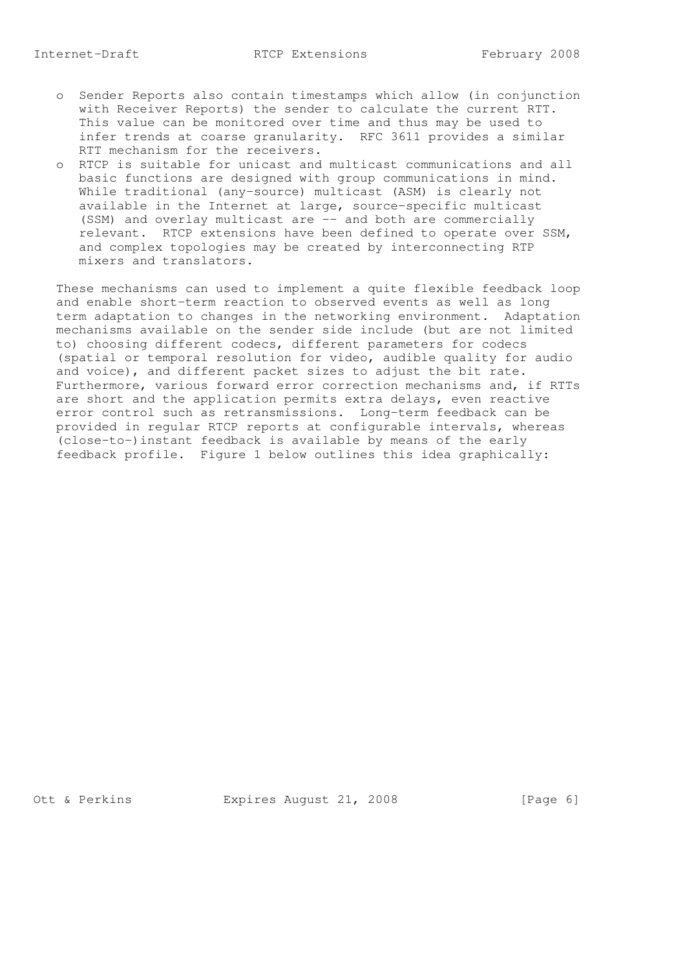- o Sender Reports also contain timestamps which allow (in conjunction with Receiver Reports) the sender to calculate the current RTT. This value can be monitored over time and thus may be used to infer trends at coarse granularity. RFC 3611 provides a similar RTT mechanism for the receivers.
- o RTCP is suitable for unicast and multicast communications and all basic functions are designed with group communications in mind. While traditional (any-source) multicast (ASM) is clearly not available in the Internet at large, source-specific multicast (SSM) and overlay multicast are -- and both are commercially relevant. RTCP extensions have been defined to operate over SSM, and complex topologies may be created by interconnecting RTP mixers and translators.

 These mechanisms can used to implement a quite flexible feedback loop and enable short-term reaction to observed events as well as long term adaptation to changes in the networking environment. Adaptation mechanisms available on the sender side include (but are not limited to) choosing different codecs, different parameters for codecs (spatial or temporal resolution for video, audible quality for audio and voice), and different packet sizes to adjust the bit rate. Furthermore, various forward error correction mechanisms and, if RTTs are short and the application permits extra delays, even reactive error control such as retransmissions. Long-term feedback can be provided in regular RTCP reports at configurable intervals, whereas (close-to-)instant feedback is available by means of the early feedback profile. Figure 1 below outlines this idea graphically:

Ott & Perkins Expires August 21, 2008 [Page 6]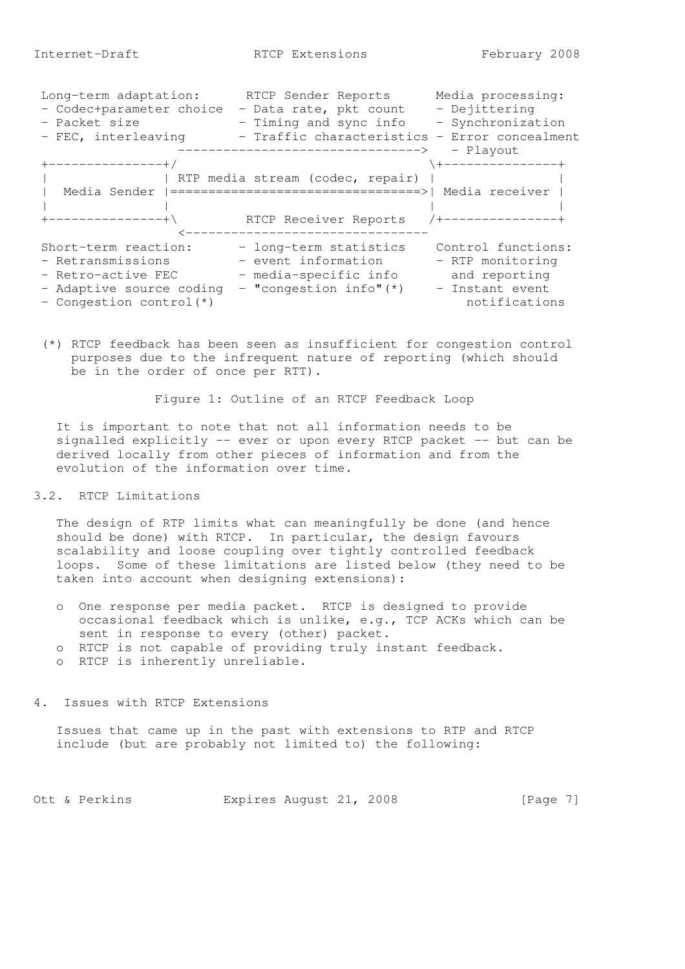| Long-term adaptation:    | RTCP Sender Reports                                               | Media processing:   |
|--------------------------|-------------------------------------------------------------------|---------------------|
| - Codec+parameter choice | - Data rate, pkt count                                            | - Dejittering       |
| - Packet size            | - Timing and sync info                                            | - Synchronization   |
| - FEC, interleaving      | - Traffic characteristics - Error concealment                     |                     |
|                          |                                                                   | - Playout           |
| --------------+/         |                                                                   | . +---------------+ |
|                          | RTP media stream (codec, repair)                                  |                     |
|                          | Media Sender   ================================>   Media receiver |                     |
|                          |                                                                   |                     |
| +--------------+\        | RTCP Receiver Reports                                             | /+-------------     |
|                          |                                                                   |                     |
| Short-term reaction:     | - long-term statistics                                            | Control functions:  |
| - Retransmissions        | - event information                                               | - RTP monitoring    |
| - Retro-active FEC       | - media-specific info                                             | and reporting       |
|                          | $-$ "congestion info" $(*)$                                       | - Instant event     |
| - Adaptive source coding |                                                                   |                     |
| - Congestion control(*)  |                                                                   | notifications       |

 (\*) RTCP feedback has been seen as insufficient for congestion control purposes due to the infrequent nature of reporting (which should be in the order of once per RTT).

Figure 1: Outline of an RTCP Feedback Loop

 It is important to note that not all information needs to be signalled explicitly -- ever or upon every RTCP packet -- but can be derived locally from other pieces of information and from the evolution of the information over time.

#### 3.2. RTCP Limitations

 The design of RTP limits what can meaningfully be done (and hence should be done) with RTCP. In particular, the design favours scalability and loose coupling over tightly controlled feedback loops. Some of these limitations are listed below (they need to be taken into account when designing extensions):

 o One response per media packet. RTCP is designed to provide occasional feedback which is unlike, e.g., TCP ACKs which can be sent in response to every (other) packet. o RTCP is not capable of providing truly instant feedback. o RTCP is inherently unreliable.

4. Issues with RTCP Extensions

 Issues that came up in the past with extensions to RTP and RTCP include (but are probably not limited to) the following:

Ott & Perkins Expires August 21, 2008 [Page 7]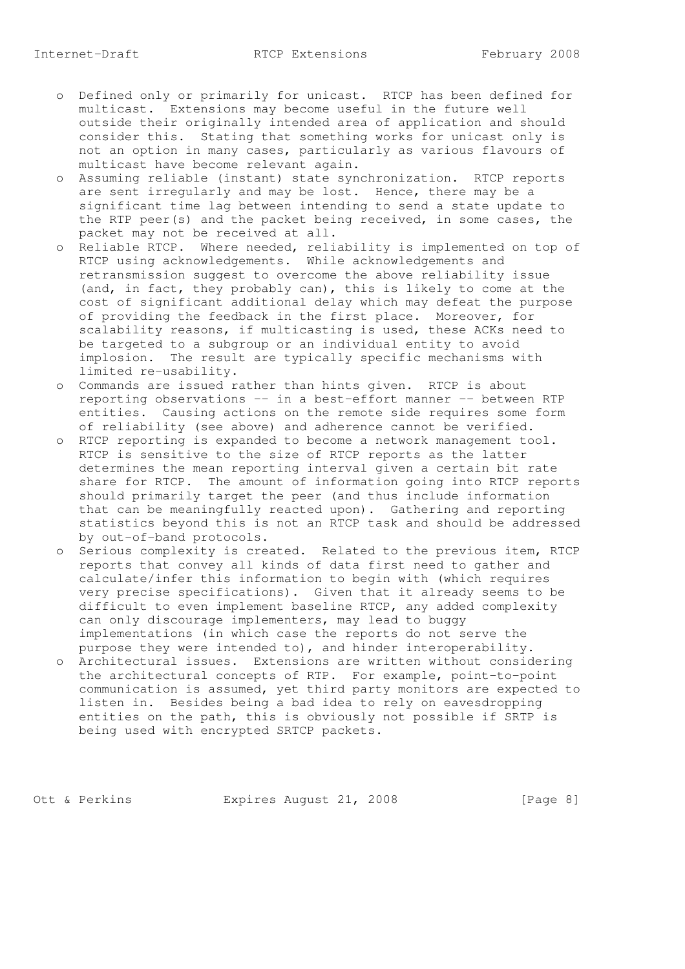- o Defined only or primarily for unicast. RTCP has been defined for multicast. Extensions may become useful in the future well outside their originally intended area of application and should consider this. Stating that something works for unicast only is not an option in many cases, particularly as various flavours of multicast have become relevant again.
- o Assuming reliable (instant) state synchronization. RTCP reports are sent irregularly and may be lost. Hence, there may be a significant time lag between intending to send a state update to the RTP peer(s) and the packet being received, in some cases, the packet may not be received at all.
- o Reliable RTCP. Where needed, reliability is implemented on top of RTCP using acknowledgements. While acknowledgements and retransmission suggest to overcome the above reliability issue (and, in fact, they probably can), this is likely to come at the cost of significant additional delay which may defeat the purpose of providing the feedback in the first place. Moreover, for scalability reasons, if multicasting is used, these ACKs need to be targeted to a subgroup or an individual entity to avoid implosion. The result are typically specific mechanisms with limited re-usability.
	- o Commands are issued rather than hints given. RTCP is about reporting observations -- in a best-effort manner -- between RTP entities. Causing actions on the remote side requires some form of reliability (see above) and adherence cannot be verified.
	- o RTCP reporting is expanded to become a network management tool. RTCP is sensitive to the size of RTCP reports as the latter determines the mean reporting interval given a certain bit rate share for RTCP. The amount of information going into RTCP reports should primarily target the peer (and thus include information that can be meaningfully reacted upon). Gathering and reporting statistics beyond this is not an RTCP task and should be addressed by out-of-band protocols.
	- o Serious complexity is created. Related to the previous item, RTCP reports that convey all kinds of data first need to gather and calculate/infer this information to begin with (which requires very precise specifications). Given that it already seems to be difficult to even implement baseline RTCP, any added complexity can only discourage implementers, may lead to buggy implementations (in which case the reports do not serve the purpose they were intended to), and hinder interoperability.
	- o Architectural issues. Extensions are written without considering the architectural concepts of RTP. For example, point-to-point communication is assumed, yet third party monitors are expected to listen in. Besides being a bad idea to rely on eavesdropping entities on the path, this is obviously not possible if SRTP is being used with encrypted SRTCP packets.

Ott & Perkins Expires August 21, 2008 [Page 8]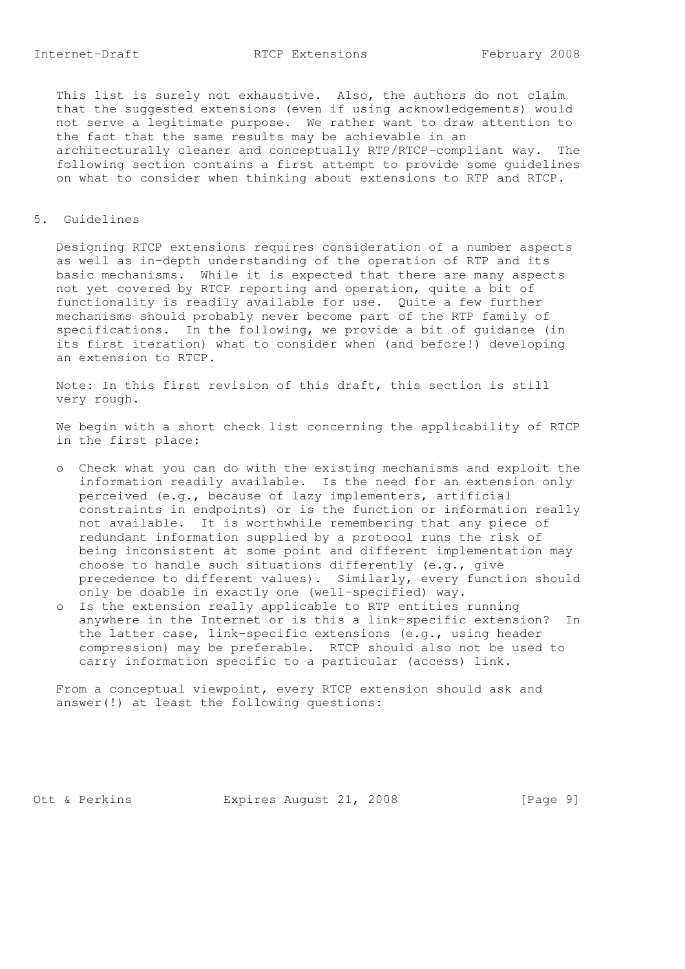This list is surely not exhaustive. Also, the authors do not claim that the suggested extensions (even if using acknowledgements) would not serve a legitimate purpose. We rather want to draw attention to the fact that the same results may be achievable in an architecturally cleaner and conceptually RTP/RTCP-compliant way. The following section contains a first attempt to provide some guidelines on what to consider when thinking about extensions to RTP and RTCP.

## 5. Guidelines

 Designing RTCP extensions requires consideration of a number aspects as well as in-depth understanding of the operation of RTP and its basic mechanisms. While it is expected that there are many aspects not yet covered by RTCP reporting and operation, quite a bit of functionality is readily available for use. Quite a few further mechanisms should probably never become part of the RTP family of specifications. In the following, we provide a bit of guidance (in its first iteration) what to consider when (and before!) developing an extension to RTCP.

 Note: In this first revision of this draft, this section is still very rough.

 We begin with a short check list concerning the applicability of RTCP in the first place:

- o Check what you can do with the existing mechanisms and exploit the information readily available. Is the need for an extension only perceived (e.g., because of lazy implementers, artificial constraints in endpoints) or is the function or information really not available. It is worthwhile remembering that any piece of redundant information supplied by a protocol runs the risk of being inconsistent at some point and different implementation may choose to handle such situations differently (e.g., give precedence to different values). Similarly, every function should only be doable in exactly one (well-specified) way.
- o Is the extension really applicable to RTP entities running anywhere in the Internet or is this a link-specific extension? In the latter case, link-specific extensions (e.g., using header compression) may be preferable. RTCP should also not be used to carry information specific to a particular (access) link.

 From a conceptual viewpoint, every RTCP extension should ask and answer(!) at least the following questions:

Ott & Perkins **Expires August 21, 2008** [Page 9]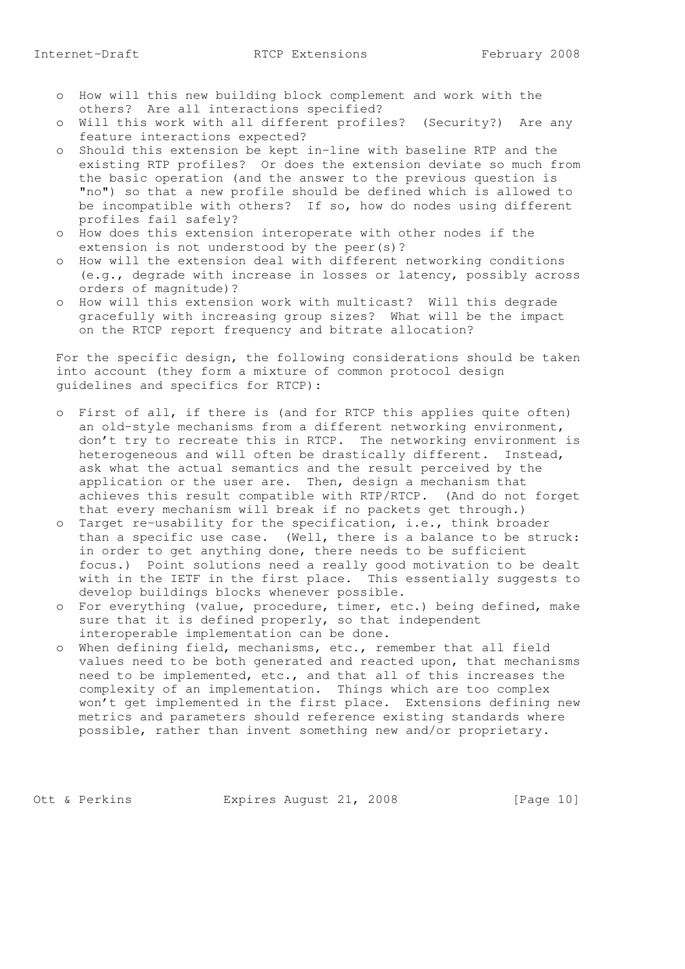- o How will this new building block complement and work with the others? Are all interactions specified?
- o Will this work with all different profiles? (Security?) Are any feature interactions expected?
- o Should this extension be kept in-line with baseline RTP and the existing RTP profiles? Or does the extension deviate so much from the basic operation (and the answer to the previous question is "no") so that a new profile should be defined which is allowed to be incompatible with others? If so, how do nodes using different profiles fail safely?
- o How does this extension interoperate with other nodes if the extension is not understood by the peer(s)?
- o How will the extension deal with different networking conditions (e.g., degrade with increase in losses or latency, possibly across orders of magnitude)?
- o How will this extension work with multicast? Will this degrade gracefully with increasing group sizes? What will be the impact on the RTCP report frequency and bitrate allocation?

 For the specific design, the following considerations should be taken into account (they form a mixture of common protocol design guidelines and specifics for RTCP):

- o First of all, if there is (and for RTCP this applies quite often) an old-style mechanisms from a different networking environment, don't try to recreate this in RTCP. The networking environment is heterogeneous and will often be drastically different. Instead, ask what the actual semantics and the result perceived by the application or the user are. Then, design a mechanism that achieves this result compatible with RTP/RTCP. (And do not forget that every mechanism will break if no packets get through.)
- o Target re-usability for the specification, i.e., think broader than a specific use case. (Well, there is a balance to be struck: in order to get anything done, there needs to be sufficient focus.) Point solutions need a really good motivation to be dealt with in the IETF in the first place. This essentially suggests to develop buildings blocks whenever possible.
- o For everything (value, procedure, timer, etc.) being defined, make sure that it is defined properly, so that independent interoperable implementation can be done.
- o When defining field, mechanisms, etc., remember that all field values need to be both generated and reacted upon, that mechanisms need to be implemented, etc., and that all of this increases the complexity of an implementation. Things which are too complex won't get implemented in the first place. Extensions defining new metrics and parameters should reference existing standards where possible, rather than invent something new and/or proprietary.

Ott & Perkins Expires August 21, 2008 [Page 10]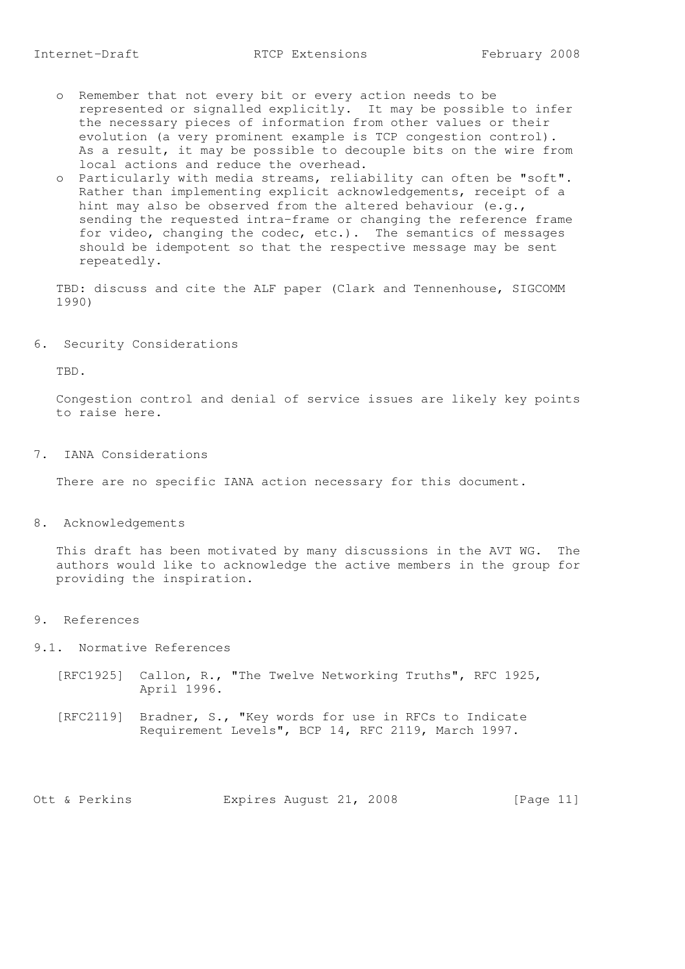- o Remember that not every bit or every action needs to be represented or signalled explicitly. It may be possible to infer the necessary pieces of information from other values or their evolution (a very prominent example is TCP congestion control). As a result, it may be possible to decouple bits on the wire from local actions and reduce the overhead.
	- o Particularly with media streams, reliability can often be "soft". Rather than implementing explicit acknowledgements, receipt of a hint may also be observed from the altered behaviour (e.g., sending the requested intra-frame or changing the reference frame for video, changing the codec, etc.). The semantics of messages should be idempotent so that the respective message may be sent repeatedly.

 TBD: discuss and cite the ALF paper (Clark and Tennenhouse, SIGCOMM 1990)

6. Security Considerations

TBD.

 Congestion control and denial of service issues are likely key points to raise here.

7. IANA Considerations

There are no specific IANA action necessary for this document.

8. Acknowledgements

 This draft has been motivated by many discussions in the AVT WG. The authors would like to acknowledge the active members in the group for providing the inspiration.

9. References

9.1. Normative References

- [RFC1925] Callon, R., "The Twelve Networking Truths", RFC 1925, April 1996.
- [RFC2119] Bradner, S., "Key words for use in RFCs to Indicate Requirement Levels", BCP 14, RFC 2119, March 1997.

Ott & Perkins Expires August 21, 2008 [Page 11]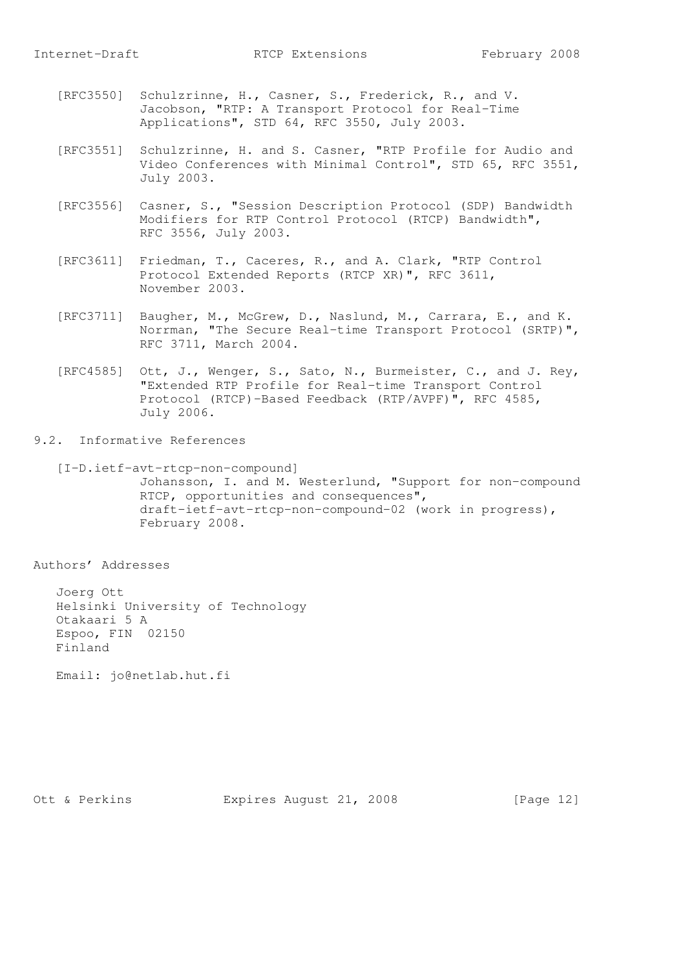- [RFC3550] Schulzrinne, H., Casner, S., Frederick, R., and V. Jacobson, "RTP: A Transport Protocol for Real-Time Applications", STD 64, RFC 3550, July 2003.
- [RFC3551] Schulzrinne, H. and S. Casner, "RTP Profile for Audio and Video Conferences with Minimal Control", STD 65, RFC 3551, July 2003.
- [RFC3556] Casner, S., "Session Description Protocol (SDP) Bandwidth Modifiers for RTP Control Protocol (RTCP) Bandwidth", RFC 3556, July 2003.
- [RFC3611] Friedman, T., Caceres, R., and A. Clark, "RTP Control Protocol Extended Reports (RTCP XR)", RFC 3611, November 2003.
- [RFC3711] Baugher, M., McGrew, D., Naslund, M., Carrara, E., and K. Norrman, "The Secure Real-time Transport Protocol (SRTP)", RFC 3711, March 2004.
- [RFC4585] Ott, J., Wenger, S., Sato, N., Burmeister, C., and J. Rey, "Extended RTP Profile for Real-time Transport Control Protocol (RTCP)-Based Feedback (RTP/AVPF)", RFC 4585, July 2006.
- 9.2. Informative References
	- [I-D.ietf-avt-rtcp-non-compound] Johansson, I. and M. Westerlund, "Support for non-compound RTCP, opportunities and consequences", draft-ietf-avt-rtcp-non-compound-02 (work in progress), February 2008.

Authors' Addresses

 Joerg Ott Helsinki University of Technology Otakaari 5 A Espoo, FIN 02150 Finland

Email: jo@netlab.hut.fi

Ott & Perkins Expires August 21, 2008 [Page 12]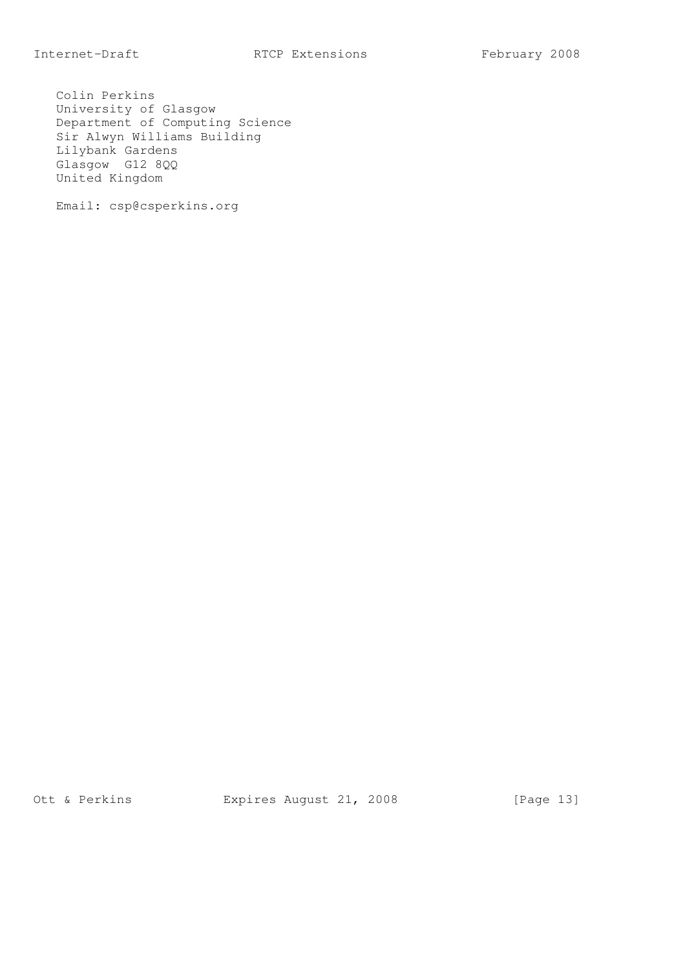Colin Perkins University of Glasgow Department of Computing Science Sir Alwyn Williams Building Lilybank Gardens Glasgow G12 8QQ United Kingdom

Email: csp@csperkins.org

Ott & Perkins Expires August 21, 2008 [Page 13]